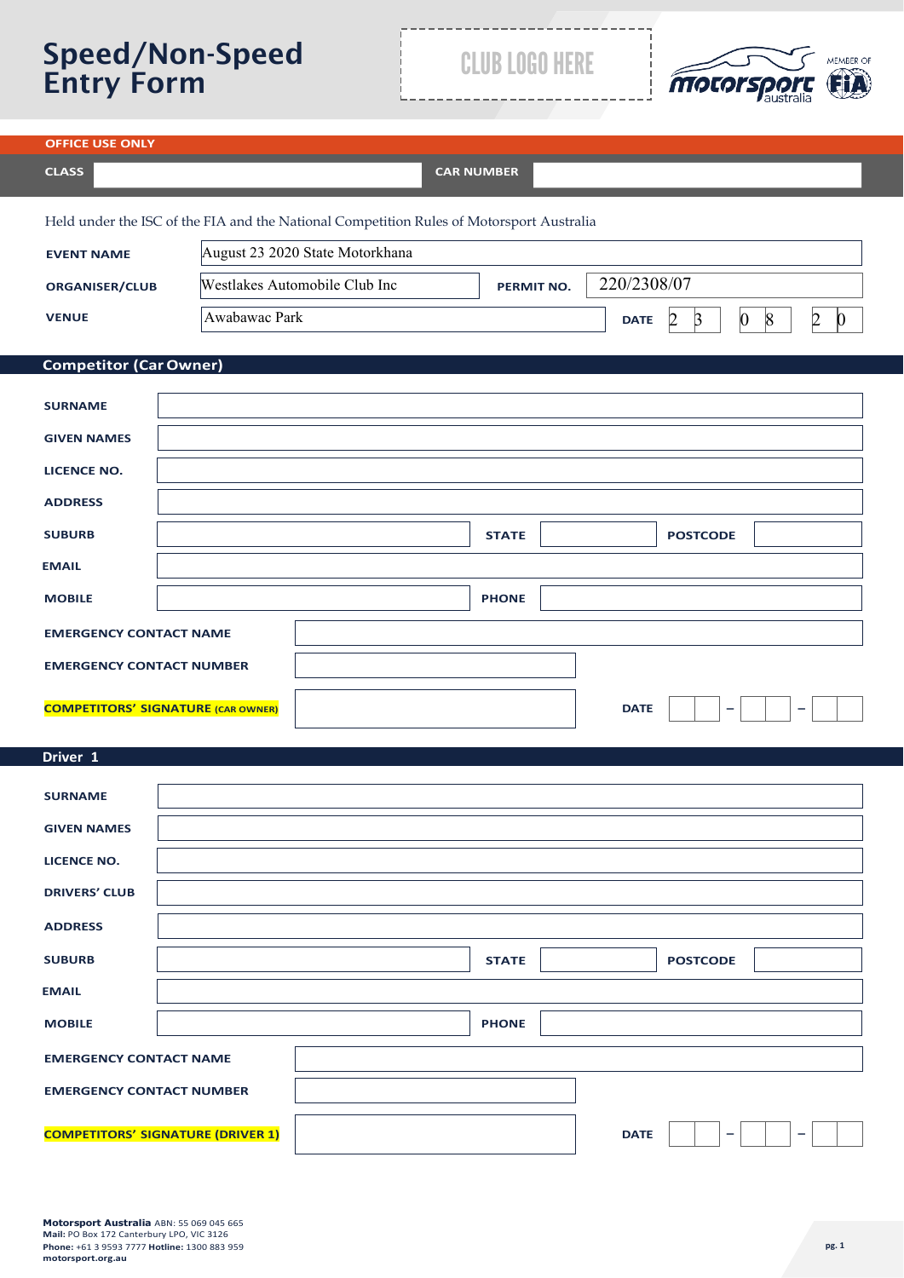# Speed/Non-Speed Entry Form CLUB LOGO HERE



| <b>OFFICE USE ONLY</b>                                                                   |                                 |                   |              |             |                           |                                    |           |                 |
|------------------------------------------------------------------------------------------|---------------------------------|-------------------|--------------|-------------|---------------------------|------------------------------------|-----------|-----------------|
| <b>CLASS</b>                                                                             |                                 | <b>CAR NUMBER</b> |              |             |                           |                                    |           |                 |
| Held under the ISC of the FIA and the National Competition Rules of Motorsport Australia |                                 |                   |              |             |                           |                                    |           |                 |
| <b>EVENT NAME</b>                                                                        | August 23 2020 State Motorkhana |                   |              |             |                           |                                    |           |                 |
| <b>ORGANISER/CLUB</b>                                                                    | Westlakes Automobile Club Inc   |                   | PERMIT NO.   | 220/2308/07 |                           |                                    |           |                 |
| <b>VENUE</b>                                                                             | Awabawac Park                   |                   |              | <b>DATE</b> | $\overline{2}$<br>$\beta$ | $\vert 0 \vert$<br>$\vert 8 \vert$ | $\vert$ 2 | $\vert 0 \vert$ |
| <b>Competitor (Car Owner)</b>                                                            |                                 |                   |              |             |                           |                                    |           |                 |
|                                                                                          |                                 |                   |              |             |                           |                                    |           |                 |
| <b>SURNAME</b>                                                                           |                                 |                   |              |             |                           |                                    |           |                 |
| <b>GIVEN NAMES</b>                                                                       |                                 |                   |              |             |                           |                                    |           |                 |
| <b>LICENCE NO.</b>                                                                       |                                 |                   |              |             |                           |                                    |           |                 |
| <b>ADDRESS</b>                                                                           |                                 |                   |              |             |                           |                                    |           |                 |
| <b>SUBURB</b>                                                                            |                                 |                   | <b>STATE</b> |             | <b>POSTCODE</b>           |                                    |           |                 |
| <b>EMAIL</b>                                                                             |                                 |                   |              |             |                           |                                    |           |                 |
| <b>MOBILE</b>                                                                            |                                 |                   | <b>PHONE</b> |             |                           |                                    |           |                 |
| <b>EMERGENCY CONTACT NAME</b>                                                            |                                 |                   |              |             |                           |                                    |           |                 |
| <b>EMERGENCY CONTACT NUMBER</b>                                                          |                                 |                   |              |             |                           |                                    |           |                 |
| <b>COMPETITORS' SIGNATURE (CAR OWNER)</b>                                                |                                 |                   |              | <b>DATE</b> | $\overline{\phantom{0}}$  |                                    | $\equiv$  |                 |
|                                                                                          |                                 |                   |              |             |                           |                                    |           |                 |
| Driver 1                                                                                 |                                 |                   |              |             |                           |                                    |           |                 |
| <b>SURNAME</b>                                                                           |                                 |                   |              |             |                           |                                    |           |                 |
| <b>GIVEN NAMES</b>                                                                       |                                 |                   |              |             |                           |                                    |           |                 |
| <b>LICENCE NO.</b>                                                                       |                                 |                   |              |             |                           |                                    |           |                 |
| <b>DRIVERS' CLUB</b>                                                                     |                                 |                   |              |             |                           |                                    |           |                 |
| <b>ADDRESS</b>                                                                           |                                 |                   |              |             |                           |                                    |           |                 |
| <b>SUBURB</b>                                                                            |                                 |                   | <b>STATE</b> |             | <b>POSTCODE</b>           |                                    |           |                 |
| <b>EMAIL</b>                                                                             |                                 |                   |              |             |                           |                                    |           |                 |
| <b>MOBILE</b>                                                                            |                                 |                   | <b>PHONE</b> |             |                           |                                    |           |                 |
| <b>EMERGENCY CONTACT NAME</b>                                                            |                                 |                   |              |             |                           |                                    |           |                 |
| <b>EMERGENCY CONTACT NUMBER</b>                                                          |                                 |                   |              |             |                           |                                    |           |                 |
| <b>COMPETITORS' SIGNATURE (DRIVER 1)</b>                                                 |                                 |                   |              | <b>DATE</b> |                           |                                    |           |                 |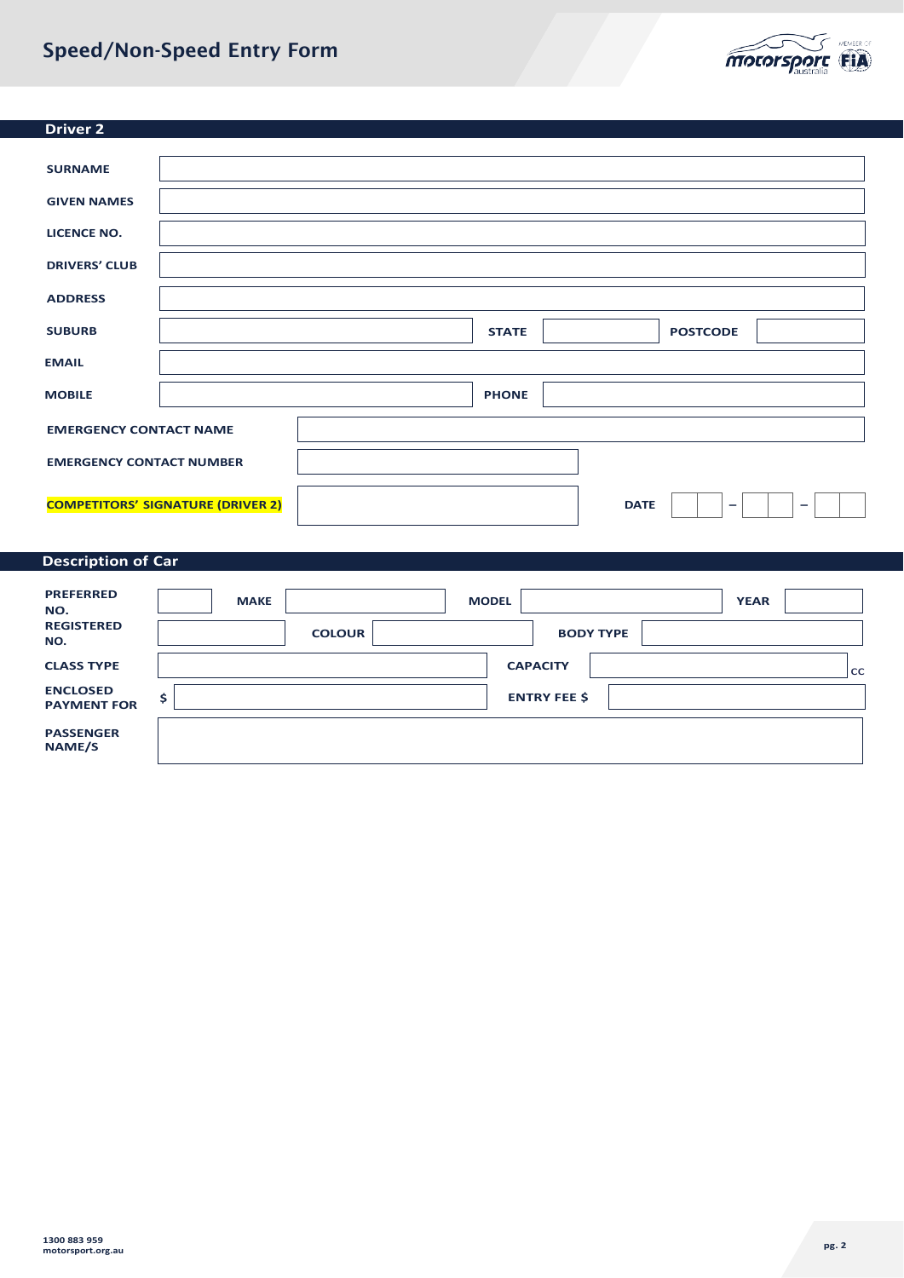# Speed/Non-Speed Entry Form



| <b>Driver 2</b>                 |                                          |              |             |                          |                          |
|---------------------------------|------------------------------------------|--------------|-------------|--------------------------|--------------------------|
|                                 |                                          |              |             |                          |                          |
| <b>SURNAME</b>                  |                                          |              |             |                          |                          |
| <b>GIVEN NAMES</b>              |                                          |              |             |                          |                          |
| <b>LICENCE NO.</b>              |                                          |              |             |                          |                          |
| <b>DRIVERS' CLUB</b>            |                                          |              |             |                          |                          |
| <b>ADDRESS</b>                  |                                          |              |             |                          |                          |
| <b>SUBURB</b>                   |                                          | <b>STATE</b> |             | <b>POSTCODE</b>          |                          |
| <b>EMAIL</b>                    |                                          |              |             |                          |                          |
| <b>MOBILE</b>                   |                                          | <b>PHONE</b> |             |                          |                          |
| <b>EMERGENCY CONTACT NAME</b>   |                                          |              |             |                          |                          |
| <b>EMERGENCY CONTACT NUMBER</b> |                                          |              |             |                          |                          |
|                                 |                                          |              |             |                          |                          |
|                                 | <b>COMPETITORS' SIGNATURE (DRIVER 2)</b> |              | <b>DATE</b> | $\overline{\phantom{0}}$ | $\overline{\phantom{m}}$ |

# **Description of Car**

| <b>PREFERRED</b><br>NO.               | <b>MAKE</b> |               | <b>MODEL</b>        |                  | <b>YEAR</b> |
|---------------------------------------|-------------|---------------|---------------------|------------------|-------------|
| <b>REGISTERED</b><br>NO.              |             | <b>COLOUR</b> |                     | <b>BODY TYPE</b> |             |
| <b>CLASS TYPE</b>                     |             |               | <b>CAPACITY</b>     |                  | cc          |
| <b>ENCLOSED</b><br><b>PAYMENT FOR</b> |             |               | <b>ENTRY FEE \$</b> |                  |             |
| <b>PASSENGER</b><br>NAME/S            |             |               |                     |                  |             |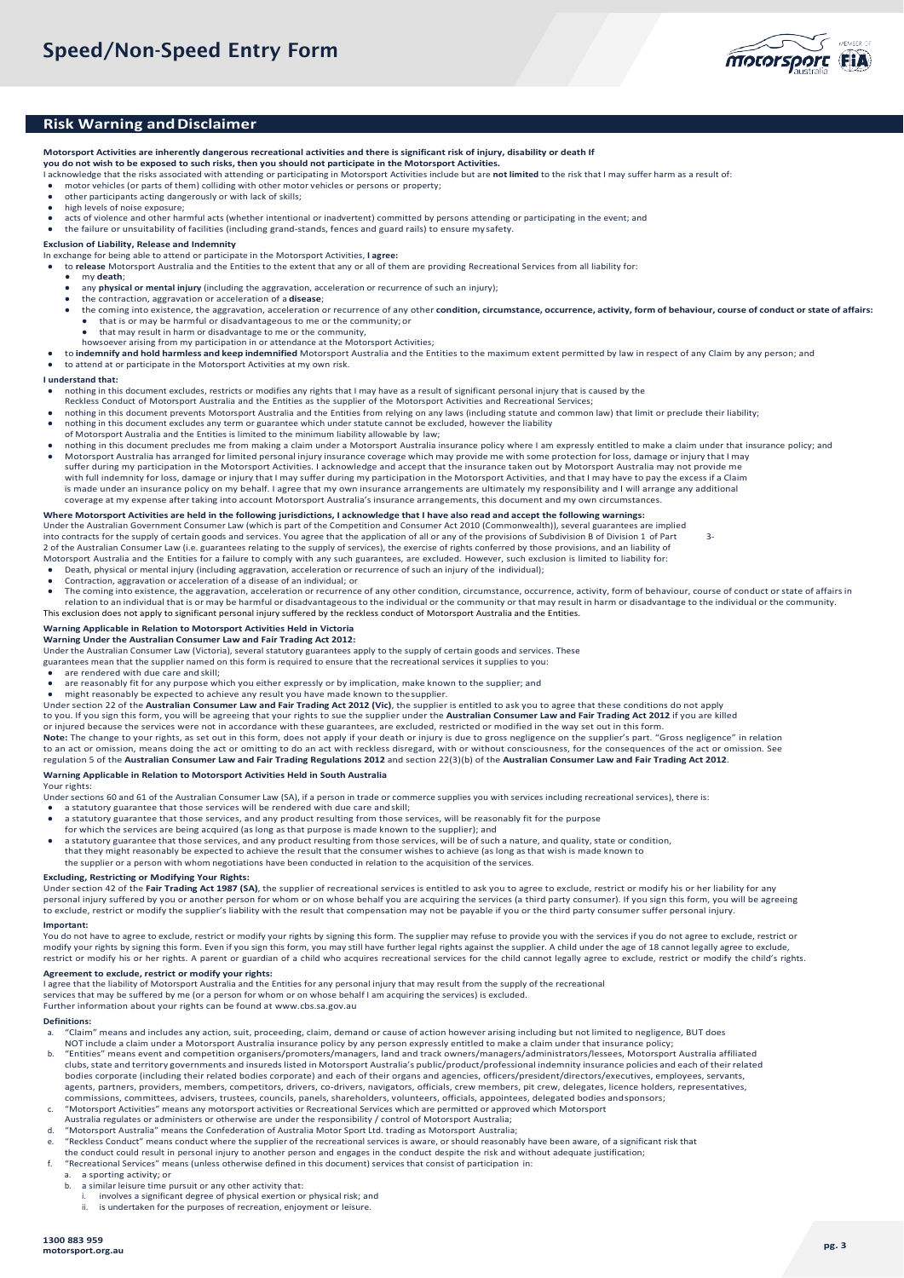

### **Risk Warning and Disclaimer**

**Motorsport Activities are inherently dangerous recreational activities and there is significant risk of injury, disability or death If** 

#### **you do not wish to be exposed to such risks, then you should not participate in the Motorsport Activities.**

- I acknowledge that the risks associated with attending or participating in Motorsport Activities include but are **not limited** to the risk that I may suffer harm as a result of:
- motor vehicles (or parts of them) colliding with other motor vehicles or persons or property; other participants acting dangerously or with lack of skills;
- high levels of noise exposure;
- acts of violence and other harmful acts (whether intentional or inadvertent) committed by persons attending or participating in the event; and
- the failure or unsuitability of facilities (including grand-stands, fences and guard rails) to ensure mysafety.

#### **Exclusion of Liability, Release and Indemnity**

- In exchange for being able to attend or participate in the Motorsport Activities, **I agree:**
- to **release** Motorsport Australia and the Entities to the extent that any or all of them are providing Recreational Services from all liability for: my **death**;
- - any **physical or mental injury** (including the aggravation, acceleration or recurrence of such an injury);
	- the contraction, aggravation or acceleration of a **disease**;
	- the coming into existence, the aggravation, acceleration or recurrence of any other condition, circumstance, occurrence, activity, form of behaviour, course of conduct or state of affairs:<br>• that is or may be harmful or di that is or may be harmful or disadvantageous to me or the community; or
	- that may result in harm or disadvantage to me or the community,
	-
- howsoever arising from my participation in or attendance at the Motorsport Activities;<br>• to **indemnify and hold harmless and keep indemnified** Motorsport Australia and the Entities to the maximum extent permitted by law in
- to attend at or participate in the Motorsport Activities at my own risk.

#### **I understand that:**

- nothing in this document excludes, restricts or modifies any rights that I may have as a result of significant personal injury that is caused by the
- Reckless Conduct of Motorsport Australia and the Entities as the supplier of the Motorsport Activities and Recreational Services; nothing in this document prevents Motorsport Australia and the Entities from relying on any laws (including statute and common law) that limit or preclude their liability;
- nothing in this document excludes any term or guarantee which under statute cannot be excluded, however the liability
- of Motorsport Australia and the Entities is limited to the minimum liability allowable by law;
- nothing in this document precludes me from making a claim under a Motorsport Australia insurance policy where I am expressly entitled to make a claim under that insurance policy; and Motorsport Australia has arranged for limited personal injury insurance coverage which may provide me with some protection for loss, damage or injury that I may suffer during my participation in the Motorsport Activities. I acknowledge and accept that the insurance taken out by Motorsport Australia may not provide me with full indemnity for loss, damage or injury that I may suffer during my participation in the Motorsport Activities, and that I may have to pay the excess if a Claim is made under an insurance policy on my behalf. I agree that my own insurance arrangements are ultimately my responsibility and I will arrange any additional coverage at my expense after taking into account Motorsport Australia's insurance arrangements, this document and my own circumstances.

#### **Where Motorsport Activities are held in the following jurisdictions, I acknowledge that I have also read and accept the following warnings:**

Under the Australian Government Consumer Law (which is part of the Competition and Consumer Act 2010 (Commonwealth)), several guarantees are implied<br>into contracts for the supply of certain goods and services. You agree th 2 of the Australian Consumer Law (i.e. guarantees relating to the supply of services), the exercise of rights conferred by those provisions, and an liability of

- Motorsport Australia and the Entities for a failure to comply with any such guarantees, are excluded. However, such exclusion is limited to liability for:<br>● Death, physical or mental injury (including aggravation, acceler
- Contraction, aggravation or acceleration of a disease of an individual; or
- The coming into existence, the aggravation, acceleration or recurrence of any other condition, circumstance, occurrence, activity, form of behaviour, course of conduct or state of affairs in relation to an individual that is or may be harmful or disadvantageous to the individual or the community or that may result in harm or disadvantage to the individual or the community. This exclusion does not apply to significant personal injury suffered by the reckless conduct of Motorsport Australia and the Entities.

#### **Warning Applicable in Relation to Motorsport Activities Held in Victoria**

**Warning Under the Australian Consumer Law and Fair Trading Act 2012:**

Under the Australian Consumer Law (Victoria), several statutory guarantees apply to the supply of certain goods and services. These

- guarantees mean that the supplier named on this form is required to ensure that the recreational services it supplies to you:
- are rendered with due care and skill;
- are reasonably fit for any purpose which you either expressly or by implication, make known to the supplier; and
- might reasonably be expected to achieve any result you have made known to the supplier.
- Under section 22 of the **Australian Consumer Law and Fair Trading Act 2012 (Vic)**, the supplier is entitled to ask you to agree that these conditions do not apply<br>to you. If you sign this form, you will be agreeing that yo

or injured because the services were not in accordance with these guarantees, are excluded, restricted or modified in the way set out in this form.<br>**Note:** The change to your rights, as set out in this form, does not apply

to an act or omission, means doing the act or omitting to do an act with reckless disregard, with or without consciousness, for the consequences of the act or omission. See<br>regulation 5 of the **Australian Consumer Law and** 

#### **Warning Applicable in Relation to Motorsport Activities Held in South Australia**

Your rights:

Under sections 60 and 61 of the Australian Consumer Law (SA), if a person in trade or commerce supplies you with services including recreational services), there is:

- 
- a statutory guarantee that those services will be rendered with due care andskill; a statutory guarantee that those services, and any product resulting from those services, will be reasonably fit for the purpose
- 
- for which the services are being acquired (as long as that purpose is made known to the supplier); and<br>● a statutory guarantee that those services, and any product resulting from those services, will be of such a nature,
- that they might reasonably be expected to achieve the result that the consumer wishes to achieve (as long as that wish is made known to
- the supplier or a person with whom negotiations have been conducted in relation to the acquisition of the services.

#### **Excluding, Restricting or Modifying Your Rights:**

Under section 42 of the **Fair Trading Act 1987 (SA)**, the supplier of recreational services is entitled to ask you to agree to exclude, restrict or modify his or her liability for any<br>personal injury suffered by you or ano to exclude, restrict or modify the supplier's liability with the result that compensation may not be payable if you or the third party consumer suffer personal injury.

#### **Important:**

You do not have to agree to exclude, restrict or modify your rights by signing this form. The supplier may refuse to provide you with the services if you do not agree to exclude, restrict or modify your rights by signing this form. Even if you sign this form, you may still have further legal rights against the supplier. A child under the age of 18 cannot legally agree to exclude, restrict or modify his or her rights. A parent or guardian of a child who acquires recreational services for the child cannot legally agree to exclude, restrict or modify the child's rights.

### **Agreement to exclude, restrict or modify your rights:**

I agree that the liability of Motorsport Australia and the Entities for any personal injury that may result from the supply of the recreational

services that may be suffered by me (or a person for whom or on whose behalf I am acquiring the services) is excluded.

Further information about your rights can be found a[t www.cbs.sa.gov.au](http://www.cbs.sa.gov.au/)

#### **Definitions:**

- a. "Claim" means and includes any action, suit, proceeding, claim, demand or cause of action however arising including but not limited to negligence, BUT does<br>NOT include a claim under a Motorsport Australia insurance poli
- b. "Entities" means event and competition organisers/promoters/managers, land and track owners/managers/administrators/lessees, Motorsport Australia affiliated clubs, state and territory governments and insureds listed in Motorsport Australia's public/product/professional indemnity insurance policies and each of their related bodies corporate (including their related bodies corporate) and each of their organs and agencies, officers/president/directors/executives, employees, servants,<br>agents, partners, providers, members, competitors, drivers, c commissions, committees, advisers, trustees, councils, panels, shareholders, volunteers, officials, appointees, delegated bodies and sponsors;<br>C. "Motorsport Activities" means any motorsport activities or Recreational Serv
- 
- Australia regulates or administers or otherwise are under the responsibility / control of Motorsport Australia;
- d. "Motorsport Australia" means the Confederation of Australia Motor Sport Ltd. trading as Motorsport Australia;
- e. "Reckless Conduct" means conduct where the supplier of the recreational services is aware, or should reasonably have been aware, of a significant risk that
- the conduct could result in personal injury to another person and engages in the conduct despite the risk and without adequate justification;<br>f. "Recreational Services" means (unless otherwise defined in this document) ser
	- a. a sporting activity; or<br>b. a similar leisure time p
		- a similar leisure time pursuit or any other activity that:
		- i. involves a significant degree of physical exertion or physical risk; and<br>ii. is undertaken for the purposes of recreation, enjoyment or leisure.
		- is undertaken for the purposes of recreation, enjoyment or leisure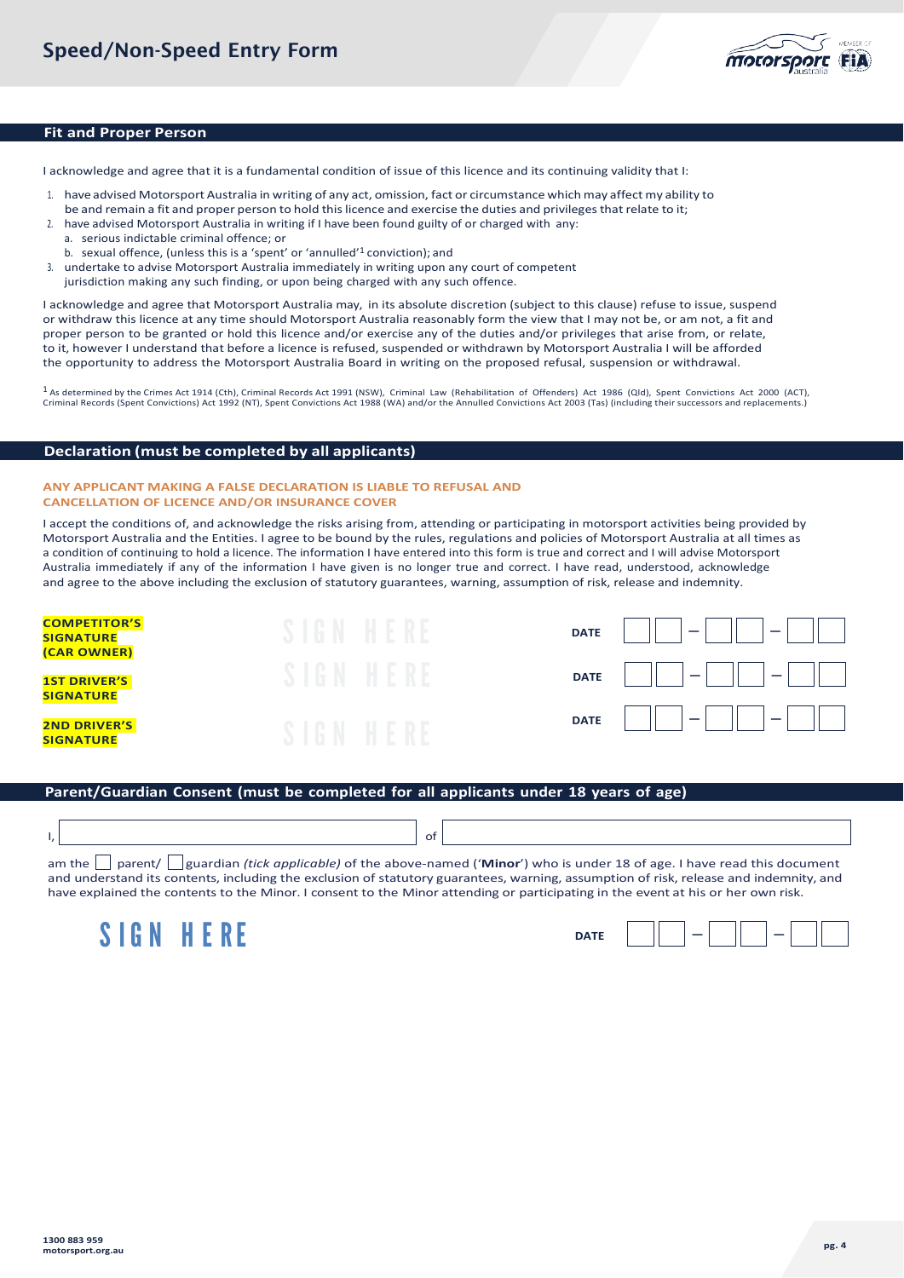

### **Fit and Proper Person**

I acknowledge and agree that it is a fundamental condition of issue of this licence and its continuing validity that I:

- 1. have advised Motorsport Australia in writing of any act, omission, fact or circumstance whichmay affect my ability to
- be and remain a fit and proper person to hold this licence and exercise the duties and privileges that relate to it;
- 2. have advised Motorsport Australia in writing if I have been found guilty of or charged with any:
	- a. serious indictable criminal offence; or
	- b. sexual offence, (unless this is a 'spent' or 'annulled'1 conviction); and
- 3. undertake to advise Motorsport Australia immediately in writing upon any court of competent
- jurisdiction making any such finding, or upon being charged with any such offence.

I acknowledge and agree that Motorsport Australia may, in its absolute discretion (subject to this clause) refuse to issue, suspend or withdraw this licence at any time should Motorsport Australia reasonably form the view that I may not be, or am not, a fit and proper person to be granted or hold this licence and/or exercise any of the duties and/or privileges that arise from, or relate, to it, however I understand that before a licence is refused, suspended or withdrawn by Motorsport Australia I will be afforded the opportunity to address the Motorsport Australia Board in writing on the proposed refusal, suspension or withdrawal.

1 As determined by the Crimes Act 1914 (Cth), Criminal Records Act 1991 (NSW), Criminal Law (Rehabilitation of Offenders) Act 1986 (Qld), Spent Convictions Act 2000 (ACT), Criminal Records (Spent Convictions) Act 1992 (NT), Spent Convictions Act 1988 (WA) and/or the Annulled Convictions Act 2003 (Tas) (including their successors and replacements.)

### **Declaration (must be completed by all applicants)**

#### **ANY APPLICANT MAKING A FALSE DECLARATION IS LIABLE TO REFUSAL AND CANCELLATION OF LICENCE AND/OR INSURANCE COVER**

I accept the conditions of, and acknowledge the risks arising from, attending or participating in motorsport activities being provided by Motorsport Australia and the Entities. I agree to be bound by the rules, regulations and policies of Motorsport Australia at all times as a condition of continuing to hold a licence. The information I have entered into this form is true and correct and I will advise Motorsport Australia immediately if any of the information I have given is no longer true and correct. I have read, understood, acknowledge and agree to the above including the exclusion of statutory guarantees, warning, assumption of risk, release and indemnity.

| <b>COMPETITOR'S</b><br><b>SIGNATURE</b><br>(CAR OWNER) | w   | <b>DATE</b>      |
|--------------------------------------------------------|-----|------------------|
| <b>1ST DRIVER'S</b><br><b>SIGNATURE</b>                | n.) | <b>DATE</b><br>_ |
| <b>2ND DRIVER'S</b><br><b>SIGNATURE</b>                |     | <b>DATE</b><br>- |

# **Parent/Guardian Consent (must be completed for all applicants under 18 years of age)**

|  |  | ОТ |  |  |  |
|--|--|----|--|--|--|
|  |  |    |  |  |  |

am the parent/ guardian *(tick applicable)* of the above-named ('Minor') who is under 18 of age. I have read this document and understand its contents, including the exclusion of statutory guarantees, warning, assumption of risk, release and indemnity, and have explained the contents to the Minor. I consent to the Minor attending or participating in the event at his or her own risk.



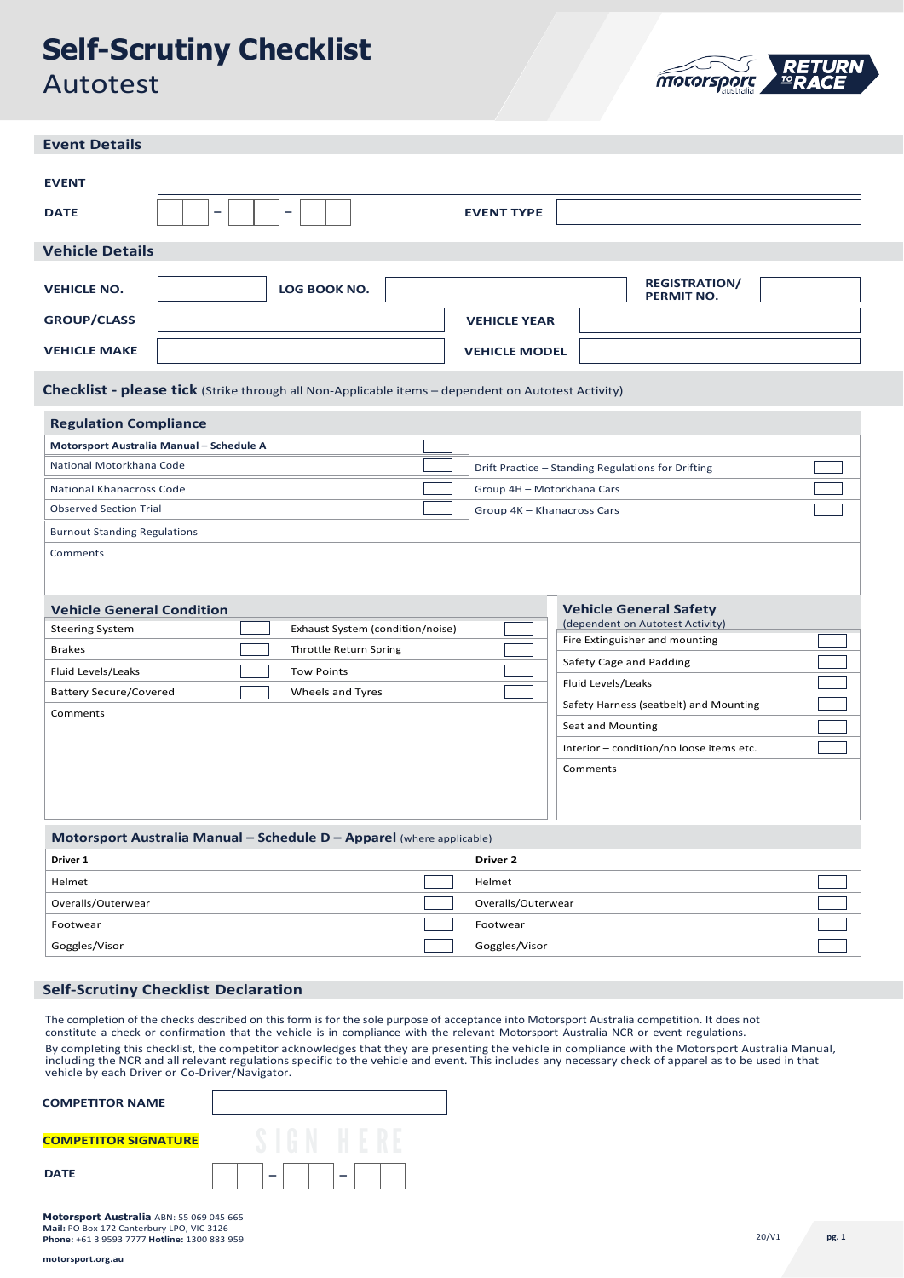# **Self-Scrutiny Checklist** Autotest



| <b>Event Details</b>                                                                                                                                                                                                                                                                                                                                                                                                                          |                                                          |                                                                                                                                                                                                                                                                                                                                   |  |
|-----------------------------------------------------------------------------------------------------------------------------------------------------------------------------------------------------------------------------------------------------------------------------------------------------------------------------------------------------------------------------------------------------------------------------------------------|----------------------------------------------------------|-----------------------------------------------------------------------------------------------------------------------------------------------------------------------------------------------------------------------------------------------------------------------------------------------------------------------------------|--|
| <b>EVENT</b><br><b>DATE</b><br>-<br>$\overline{\phantom{0}}$                                                                                                                                                                                                                                                                                                                                                                                  | <b>EVENT TYPE</b>                                        |                                                                                                                                                                                                                                                                                                                                   |  |
| <b>Vehicle Details</b>                                                                                                                                                                                                                                                                                                                                                                                                                        |                                                          |                                                                                                                                                                                                                                                                                                                                   |  |
| LOG BOOK NO.<br><b>VEHICLE NO.</b><br><b>GROUP/CLASS</b><br><b>VEHICLE MAKE</b>                                                                                                                                                                                                                                                                                                                                                               | <b>VEHICLE YEAR</b><br><b>VEHICLE MODEL</b>              | <b>REGISTRATION/</b><br>PERMIT NO.                                                                                                                                                                                                                                                                                                |  |
| Checklist - please tick (Strike through all Non-Applicable items - dependent on Autotest Activity)                                                                                                                                                                                                                                                                                                                                            |                                                          |                                                                                                                                                                                                                                                                                                                                   |  |
| <b>Regulation Compliance</b>                                                                                                                                                                                                                                                                                                                                                                                                                  |                                                          |                                                                                                                                                                                                                                                                                                                                   |  |
| Motorsport Australia Manual - Schedule A<br>National Motorkhana Code<br>National Khanacross Code<br><b>Observed Section Trial</b><br><b>Burnout Standing Regulations</b><br>Comments<br><b>Vehicle General Condition</b><br>Exhaust System (condition/noise)<br><b>Steering System</b><br><b>Brakes</b><br>Throttle Return Spring<br>Fluid Levels/Leaks<br><b>Tow Points</b><br><b>Battery Secure/Covered</b><br>Wheels and Tyres<br>Comments | Group 4H - Motorkhana Cars<br>Group 4K - Khanacross Cars | Drift Practice - Standing Regulations for Drifting<br><b>Vehicle General Safety</b><br>(dependent on Autotest Activity)<br>Fire Extinguisher and mounting<br>Safety Cage and Padding<br>Fluid Levels/Leaks<br>Safety Harness (seatbelt) and Mounting<br>Seat and Mounting<br>Interior - condition/no loose items etc.<br>Comments |  |
| Motorsport Australia Manual - Schedule D - Apparel (where applicable)                                                                                                                                                                                                                                                                                                                                                                         |                                                          |                                                                                                                                                                                                                                                                                                                                   |  |
| Driver 1                                                                                                                                                                                                                                                                                                                                                                                                                                      | Driver 2                                                 |                                                                                                                                                                                                                                                                                                                                   |  |
| Helmet                                                                                                                                                                                                                                                                                                                                                                                                                                        | Helmet                                                   |                                                                                                                                                                                                                                                                                                                                   |  |
| Overalls/Outerwear                                                                                                                                                                                                                                                                                                                                                                                                                            | Overalls/Outerwear                                       |                                                                                                                                                                                                                                                                                                                                   |  |
| Footwear                                                                                                                                                                                                                                                                                                                                                                                                                                      | Footwear                                                 |                                                                                                                                                                                                                                                                                                                                   |  |
| Goggles/Visor                                                                                                                                                                                                                                                                                                                                                                                                                                 | Goggles/Visor                                            |                                                                                                                                                                                                                                                                                                                                   |  |

# **Self-Scrutiny Checklist Declaration**

The completion of the checks described on this form is for the sole purpose of acceptance into Motorsport Australia competition. It does not constitute a check or confirmation that the vehicle is in compliance with the relevant Motorsport Australia NCR or event regulations.

By completing this checklist, the competitor acknowledges that they are presenting the vehicle in compliance with the Motorsport Australia Manual, including the NCR and all relevant regulations specific to the vehicle and event. This includes any necessary check of apparel as to be used in that vehicle by each Driver or Co-Driver/Navigator.

| <b>COMPETITOR NAME</b>      |  |
|-----------------------------|--|
| <b>COMPETITOR SIGNATURE</b> |  |
| <b>DATE</b>                 |  |

**Motorsport Australia** ABN: 55 069 045 665 **Mail:** PO Box 172 Canterbury LPO, VIC 3126 **Phone:** +61 3 9593 7777 **Hotline:** 1300 883 959 20/V1 **pg. 1** 20/V1 **pg. 1** 20/V1 **pg. 1**